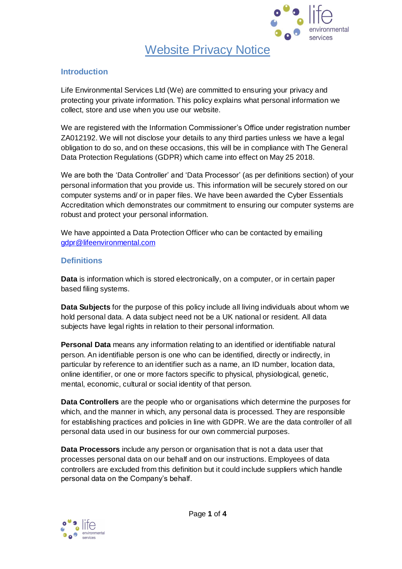

# Website Privacy Notice

### **Introduction**

Life Environmental Services Ltd (We) are committed to ensuring your privacy and protecting your private information. This policy explains what personal information we collect, store and use when you use our website.

We are registered with the Information Commissioner's Office under registration number ZA012192. We will not disclose your details to any third parties unless we have a legal obligation to do so, and on these occasions, this will be in compliance with The General Data Protection Regulations (GDPR) which came into effect on May 25 2018.

We are both the 'Data Controller' and 'Data Processor' (as per definitions section) of your personal information that you provide us. This information will be securely stored on our computer systems and/ or in paper files. We have been awarded the Cyber Essentials Accreditation which demonstrates our commitment to ensuring our computer systems are robust and protect your personal information.

We have appointed a Data Protection Officer who can be contacted by emailing [gdpr@lifeenvironmental.com](mailto:gdpr@lifeenvironmental.com)

## **Definitions**

**Data** is information which is stored electronically, on a computer, or in certain paper based filing systems.

**Data Subjects** for the purpose of this policy include all living individuals about whom we hold personal data. A data subject need not be a UK national or resident. All data subjects have legal rights in relation to their personal information.

**Personal Data** means any information relating to an identified or identifiable natural person. An identifiable person is one who can be identified, directly or indirectly, in particular by reference to an identifier such as a name, an ID number, location data, online identifier, or one or more factors specific to physical, physiological, genetic, mental, economic, cultural or social identity of that person.

**Data Controllers** are the people who or organisations which determine the purposes for which, and the manner in which, any personal data is processed. They are responsible for establishing practices and policies in line with GDPR. We are the data controller of all personal data used in our business for our own commercial purposes.

**Data Processors** include any person or organisation that is not a data user that processes personal data on our behalf and on our instructions. Employees of data controllers are excluded from this definition but it could include suppliers which handle personal data on the Company's behalf.

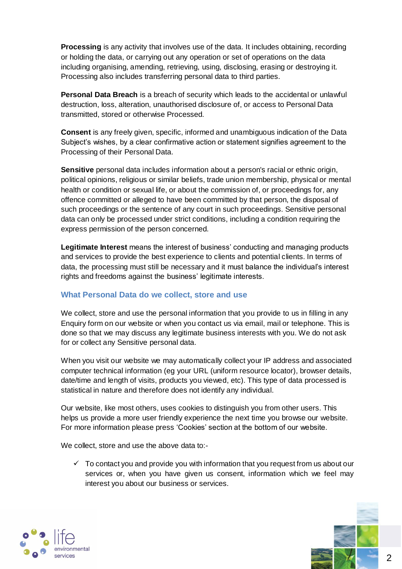**Processing** is any activity that involves use of the data. It includes obtaining, recording or holding the data, or carrying out any operation or set of operations on the data including organising, amending, retrieving, using, disclosing, erasing or destroying it. Processing also includes transferring personal data to third parties.

**Personal Data Breach** is a breach of security which leads to the accidental or unlawful destruction, loss, alteration, unauthorised disclosure of, or access to Personal Data transmitted, stored or otherwise Processed.

**Consent** is any freely given, specific, informed and unambiguous indication of the Data Subject's wishes, by a clear confirmative action or statement signifies agreement to the Processing of their Personal Data.

**Sensitive** personal data includes information about a person's racial or ethnic origin, political opinions, religious or similar beliefs, trade union membership, physical or mental health or condition or sexual life, or about the commission of, or proceedings for, any offence committed or alleged to have been committed by that person, the disposal of such proceedings or the sentence of any court in such proceedings. Sensitive personal data can only be processed under strict conditions, including a condition requiring the express permission of the person concerned.

**Legitimate Interest** means the interest of business' conducting and managing products and services to provide the best experience to clients and potential clients. In terms of data, the processing must still be necessary and it must balance the individual's interest rights and freedoms against the business' legitimate interests.

## **What Personal Data do we collect, store and use**

We collect, store and use the personal information that you provide to us in filling in any Enquiry form on our website or when you contact us via email, mail or telephone. This is done so that we may discuss any legitimate business interests with you. We do not ask for or collect any Sensitive personal data.

When you visit our website we may automatically collect your IP address and associated computer technical information (eg your URL (uniform resource locator), browser details, date/time and length of visits, products you viewed, etc). This type of data processed is statistical in nature and therefore does not identify any individual.

Our website, like most others, uses cookies to distinguish you from other users. This helps us provide a more user friendly experience the next time you browse our website. For more information please press 'Cookies' section at the bottom of our website.

We collect, store and use the above data to:-

 $\checkmark$  To contact you and provide you with information that you request from us about our services or, when you have given us consent, information which we feel may interest you about our business or services.

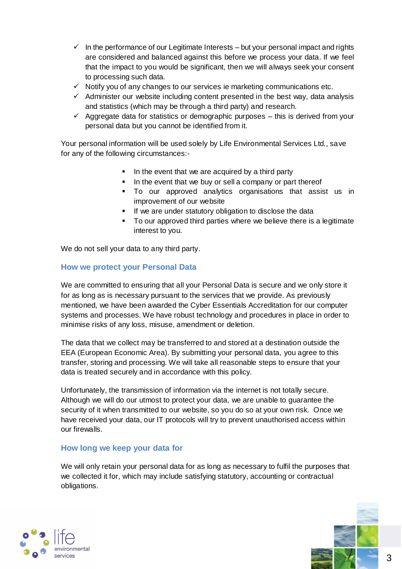- $\checkmark$  In the performance of our Legitimate Interests but your personal impact and rights are considered and balanced against this before we process your data. If we feel that the impact to you would be significant, then we will always seek your consent to processing such data.
- $\checkmark$  Notify you of any changes to our services ie marketing communications etc.
- $\checkmark$  Administer our website including content presented in the best way, data analysis and statistics (which may be through a third party) and research.
- $\checkmark$  Aggregate data for statistics or demographic purposes this is derived from your personal data but you cannot be identified from it.

Your personal information will be used solely by Life Environmental Services Ltd., save for any of the following circumstances:-

- In the event that we are acquired by a third party
- In the event that we buy or sell a company or part thereof
- To our approved analytics organisations that assist us in improvement of our website
- **If we are under statutory obligation to disclose the data**
- To our approved third parties where we believe there is a legitimate interest to you.

We do not sell your data to any third party.

### **How we protect your Personal Data**

We are committed to ensuring that all your Personal Data is secure and we only store it for as long as is necessary pursuant to the services that we provide. As previously mentioned, we have been awarded the Cyber Essentials Accreditation for our computer systems and processes. We have robust technology and procedures in place in order to minimise risks of any loss, misuse, amendment or deletion.

The data that we collect may be transferred to and stored at a destination outside the EEA (European Economic Area). By submitting your personal data, you agree to this transfer, storing and processing. We will take all reasonable steps to ensure that your data is treated securely and in accordance with this policy.

Unfortunately, the transmission of information via the internet is not totally secure. Although we will do our utmost to protect your data, we are unable to guarantee the security of it when transmitted to our website, so you do so at your own risk. Once we have received your data, our IT protocols will try to prevent unauthorised access within our firewalls.

## **How long we keep your data for**

We will only retain your personal data for as long as necessary to fulfil the purposes that we collected it for, which may include satisfying statutory, accounting or contractual obligations.